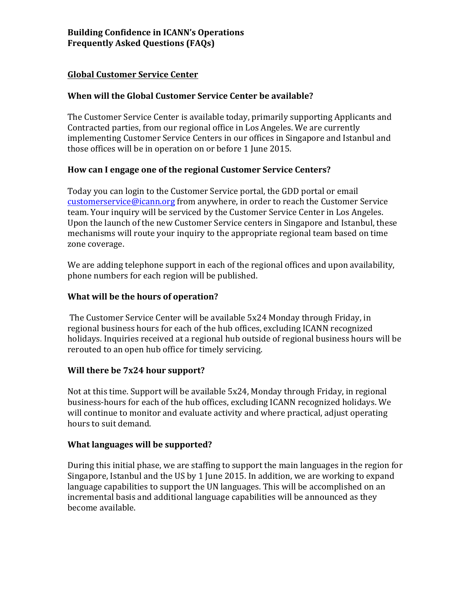### **Global Customer Service Center**

# **When will the Global Customer Service Center be available?**

The Customer Service Center is available today, primarily supporting Applicants and Contracted parties, from our regional office in Los Angeles. We are currently implementing Customer Service Centers in our offices in Singapore and Istanbul and those offices will be in operation on or before 1 June 2015.

## How can I engage one of the regional Customer Service Centers?

Today you can login to the Customer Service portal, the GDD portal or email customerservice@icann.org from anywhere, in order to reach the Customer Service team. Your inquiry will be serviced by the Customer Service Center in Los Angeles. Upon the launch of the new Customer Service centers in Singapore and Istanbul, these mechanisms will route your inquiry to the appropriate regional team based on time zone coverage.

We are adding telephone support in each of the regional offices and upon availability, phone numbers for each region will be published.

## **What will be the hours of operation?**

The Customer Service Center will be available 5x24 Monday through Friday, in regional business hours for each of the hub offices, excluding ICANN recognized holidays. Inquiries received at a regional hub outside of regional business hours will be rerouted to an open hub office for timely servicing.

# **Will there be 7x24 hour support?**

Not at this time. Support will be available  $5x24$ , Monday through Friday, in regional business-hours for each of the hub offices, excluding ICANN recognized holidays. We will continue to monitor and evaluate activity and where practical, adjust operating hours to suit demand.

#### **What languages will be supported?**

During this initial phase, we are staffing to support the main languages in the region for Singapore, Istanbul and the US by 1 June 2015. In addition, we are working to expand language capabilities to support the UN languages. This will be accomplished on an incremental basis and additional language capabilities will be announced as they become available.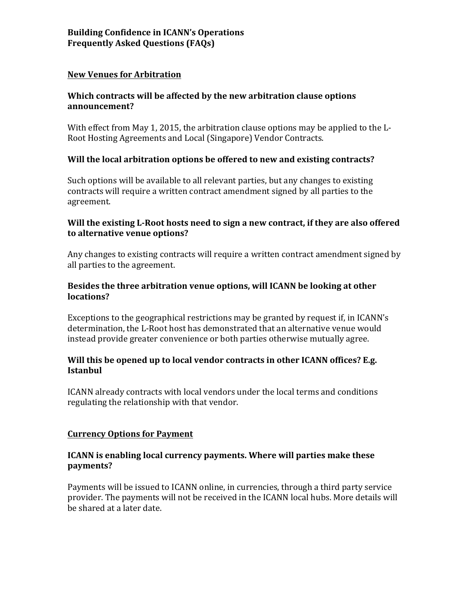### **New Venues for Arbitration**

# Which contracts will be affected by the new arbitration clause options **announcement?**

With effect from May 1, 2015, the arbitration clause options may be applied to the  $L$ -Root Hosting Agreements and Local (Singapore) Vendor Contracts.

## Will the local arbitration options be offered to new and existing contracts?

Such options will be available to all relevant parties, but any changes to existing contracts will require a written contract amendment signed by all parties to the agreement. 

### Will the existing L-Root hosts need to sign a new contract, if they are also offered **to alternative venue options?**

Any changes to existing contracts will require a written contract amendment signed by all parties to the agreement.

## **Besides the three arbitration venue options, will ICANN be looking at other locations?**

Exceptions to the geographical restrictions may be granted by request if, in ICANN's determination, the L-Root host has demonstrated that an alternative venue would instead provide greater convenience or both parties otherwise mutually agree.

## Will this be opened up to local vendor contracts in other ICANN offices? E.g. **Istanbul**

ICANN already contracts with local vendors under the local terms and conditions regulating the relationship with that vendor.

#### **Currency Options for Payment**

## **ICANN** is enabling local currency payments. Where will parties make these **payments?**

Payments will be issued to ICANN online, in currencies, through a third party service provider. The payments will not be received in the ICANN local hubs. More details will be shared at a later date.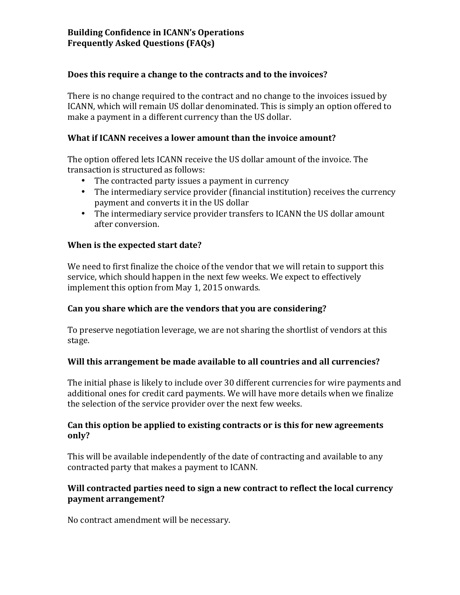# **Building Confidence in ICANN's Operations Frequently Asked Questions (FAQs)**

#### Does this require a change to the contracts and to the invoices?

There is no change required to the contract and no change to the invoices issued by ICANN, which will remain US dollar denominated. This is simply an option offered to make a payment in a different currency than the US dollar.

#### **What if ICANN receives a lower amount than the invoice amount?**

The option offered lets ICANN receive the US dollar amount of the invoice. The transaction is structured as follows:

- The contracted party issues a payment in currency
- The intermediary service provider (financial institution) receives the currency payment and converts it in the US dollar
- The intermediary service provider transfers to ICANN the US dollar amount after conversion.

#### **When is the expected start date?**

We need to first finalize the choice of the vendor that we will retain to support this service, which should happen in the next few weeks. We expect to effectively implement this option from May 1, 2015 onwards.

#### Can vou share which are the vendors that you are considering?

To preserve negotiation leverage, we are not sharing the shortlist of vendors at this stage.

#### **Will this arrangement be made available to all countries and all currencies?**

The initial phase is likely to include over 30 different currencies for wire payments and additional ones for credit card payments. We will have more details when we finalize the selection of the service provider over the next few weeks.

#### Can this option be applied to existing contracts or is this for new agreements **only?**

This will be available independently of the date of contracting and available to any contracted party that makes a payment to ICANN.

#### Will contracted parties need to sign a new contract to reflect the local currency **payment arrangement?**

No contract amendment will be necessary.